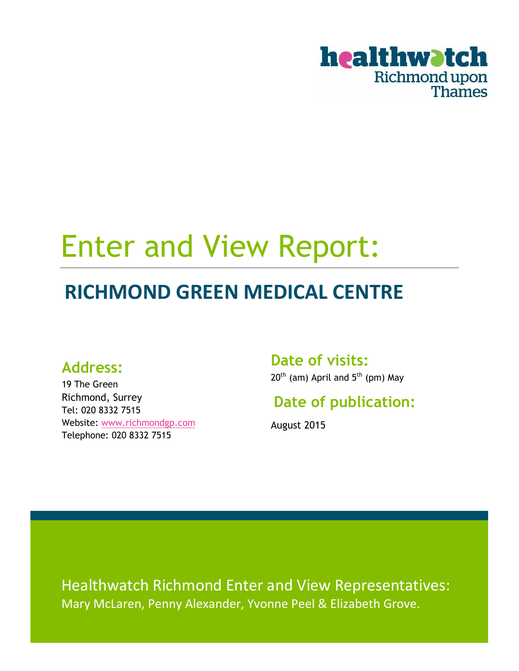

# Enter and View Report:

## **RICHMOND GREEN MEDICAL CENTRE**

### **Address:**

19 The Green Richmond, Surrey Tel: 020 8332 7515 Website: [www.richmondgp.com](http://www.richmondgp.com/) Telephone: 020 8332 7515

### **Date of visits:**

 $20^{th}$  (am) April and  $5^{th}$  (pm) May

## **Date of publication:**

August 2015

Healthwatch Richmond Enter and View Representatives: Mary McLaren, Penny Alexander, Yvonne Peel & Elizabeth Grove.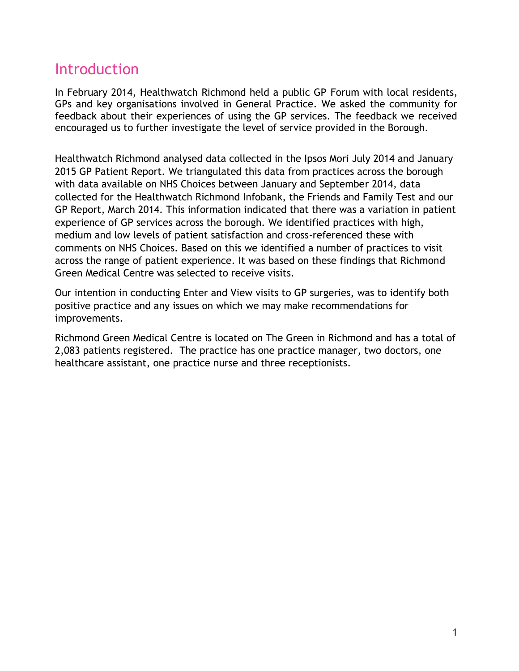## Introduction

In February 2014, Healthwatch Richmond held a public GP Forum with local residents, GPs and key organisations involved in General Practice. We asked the community for feedback about their experiences of using the GP services. The feedback we received encouraged us to further investigate the level of service provided in the Borough.

Healthwatch Richmond analysed data collected in the Ipsos Mori July 2014 and January 2015 GP Patient Report. We triangulated this data from practices across the borough with data available on NHS Choices between January and September 2014, data collected for the Healthwatch Richmond Infobank, the Friends and Family Test and our GP Report, March 2014. This information indicated that there was a variation in patient experience of GP services across the borough. We identified practices with high, medium and low levels of patient satisfaction and cross-referenced these with comments on NHS Choices. Based on this we identified a number of practices to visit across the range of patient experience. It was based on these findings that Richmond Green Medical Centre was selected to receive visits.

Our intention in conducting Enter and View visits to GP surgeries, was to identify both positive practice and any issues on which we may make recommendations for improvements.

Richmond Green Medical Centre is located on The Green in Richmond and has a total of 2,083 patients registered. The practice has one practice manager, two doctors, one healthcare assistant, one practice nurse and three receptionists.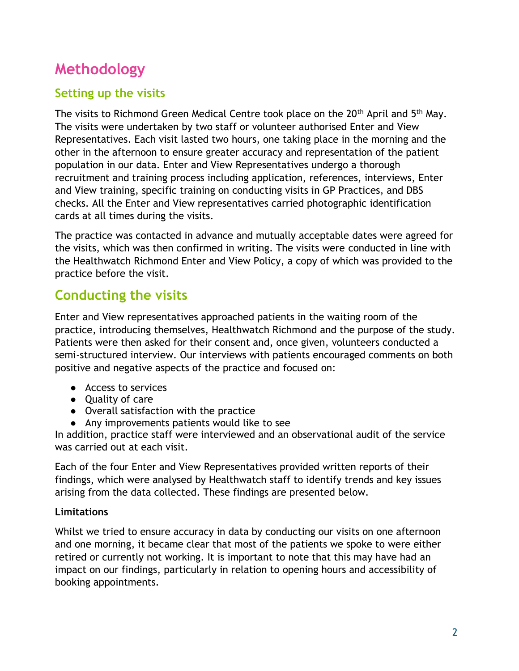## **Methodology**

### **Setting up the visits**

The visits to Richmond Green Medical Centre took place on the 20<sup>th</sup> April and 5<sup>th</sup> May. The visits were undertaken by two staff or volunteer authorised Enter and View Representatives. Each visit lasted two hours, one taking place in the morning and the other in the afternoon to ensure greater accuracy and representation of the patient population in our data. Enter and View Representatives undergo a thorough recruitment and training process including application, references, interviews, Enter and View training, specific training on conducting visits in GP Practices, and DBS checks. All the Enter and View representatives carried photographic identification cards at all times during the visits.

The practice was contacted in advance and mutually acceptable dates were agreed for the visits, which was then confirmed in writing. The visits were conducted in line with the Healthwatch Richmond Enter and View Policy, a copy of which was provided to the practice before the visit.

### **Conducting the visits**

Enter and View representatives approached patients in the waiting room of the practice, introducing themselves, Healthwatch Richmond and the purpose of the study. Patients were then asked for their consent and, once given, volunteers conducted a semi-structured interview. Our interviews with patients encouraged comments on both positive and negative aspects of the practice and focused on:

- Access to services
- Quality of care
- Overall satisfaction with the practice
- Any improvements patients would like to see

In addition, practice staff were interviewed and an observational audit of the service was carried out at each visit.

Each of the four Enter and View Representatives provided written reports of their findings, which were analysed by Healthwatch staff to identify trends and key issues arising from the data collected. These findings are presented below.

#### **Limitations**

Whilst we tried to ensure accuracy in data by conducting our visits on one afternoon and one morning, it became clear that most of the patients we spoke to were either retired or currently not working. It is important to note that this may have had an impact on our findings, particularly in relation to opening hours and accessibility of booking appointments.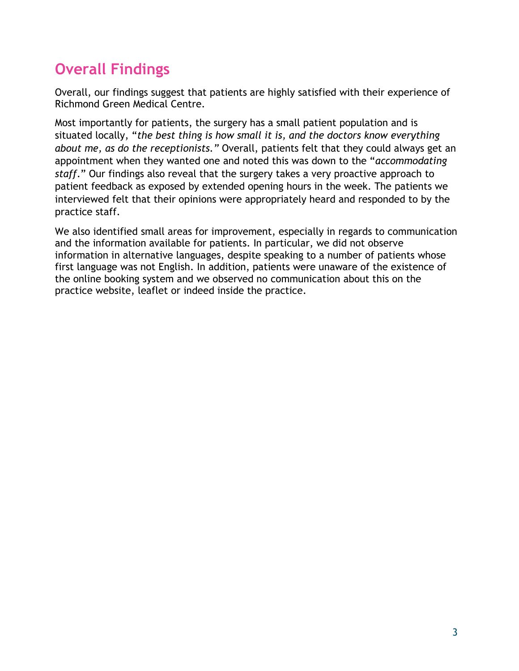## **Overall Findings**

Overall, our findings suggest that patients are highly satisfied with their experience of Richmond Green Medical Centre.

Most importantly for patients, the surgery has a small patient population and is situated locally, "*the best thing is how small it is, and the doctors know everything about me, as do the receptionists."* Overall, patients felt that they could always get an appointment when they wanted one and noted this was down to the "*accommodating staff*." Our findings also reveal that the surgery takes a very proactive approach to patient feedback as exposed by extended opening hours in the week. The patients we interviewed felt that their opinions were appropriately heard and responded to by the practice staff.

We also identified small areas for improvement, especially in regards to communication and the information available for patients. In particular, we did not observe information in alternative languages, despite speaking to a number of patients whose first language was not English. In addition, patients were unaware of the existence of the online booking system and we observed no communication about this on the practice website, leaflet or indeed inside the practice.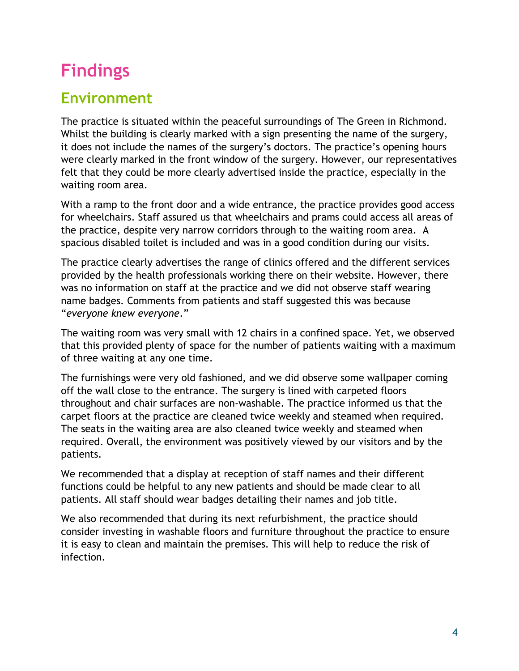## **Findings**

## **Environment**

The practice is situated within the peaceful surroundings of The Green in Richmond. Whilst the building is clearly marked with a sign presenting the name of the surgery, it does not include the names of the surgery's doctors. The practice's opening hours were clearly marked in the front window of the surgery. However, our representatives felt that they could be more clearly advertised inside the practice, especially in the waiting room area.

With a ramp to the front door and a wide entrance, the practice provides good access for wheelchairs. Staff assured us that wheelchairs and prams could access all areas of the practice, despite very narrow corridors through to the waiting room area. A spacious disabled toilet is included and was in a good condition during our visits.

The practice clearly advertises the range of clinics offered and the different services provided by the health professionals working there on their website. However, there was no information on staff at the practice and we did not observe staff wearing name badges. Comments from patients and staff suggested this was because "*everyone knew everyone*."

The waiting room was very small with 12 chairs in a confined space. Yet, we observed that this provided plenty of space for the number of patients waiting with a maximum of three waiting at any one time.

The furnishings were very old fashioned, and we did observe some wallpaper coming off the wall close to the entrance. The surgery is lined with carpeted floors throughout and chair surfaces are non-washable. The practice informed us that the carpet floors at the practice are cleaned twice weekly and steamed when required. The seats in the waiting area are also cleaned twice weekly and steamed when required. Overall, the environment was positively viewed by our visitors and by the patients.

We recommended that a display at reception of staff names and their different functions could be helpful to any new patients and should be made clear to all patients. All staff should wear badges detailing their names and job title.

We also recommended that during its next refurbishment, the practice should consider investing in washable floors and furniture throughout the practice to ensure it is easy to clean and maintain the premises. This will help to reduce the risk of infection.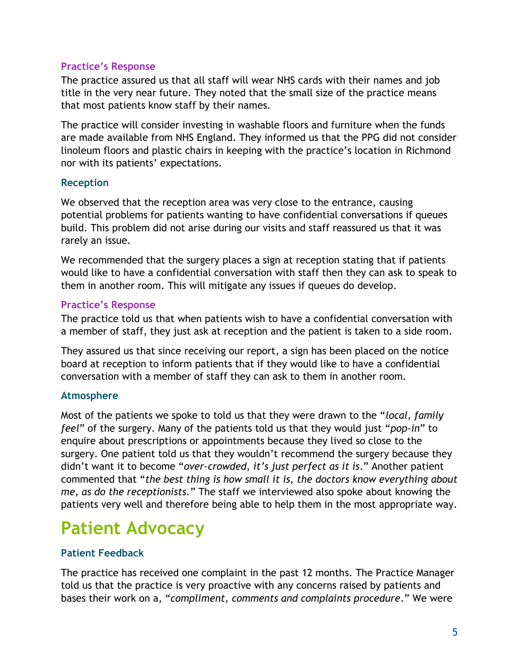#### **Practice's Response**

The practice assured us that all staff will wear NHS cards with their names and job title in the very near future. They noted that the small size of the practice means that most patients know staff by their names.

The practice will consider investing in washable floors and furniture when the funds are made available from NHS England. They informed us that the PPG did not consider linoleum floors and plastic chairs in keeping with the practice's location in Richmond nor with its patients' expectations.

#### **Reception**

We observed that the reception area was very close to the entrance, causing potential problems for patients wanting to have confidential conversations if queues build. This problem did not arise during our visits and staff reassured us that it was rarely an issue.

We recommended that the surgery places a sign at reception stating that if patients would like to have a confidential conversation with staff then they can ask to speak to them in another room. This will mitigate any issues if queues do develop.

#### **Practice's Response**

The practice told us that when patients wish to have a confidential conversation with a member of staff, they just ask at reception and the patient is taken to a side room.

They assured us that since receiving our report, a sign has been placed on the notice board at reception to inform patients that if they would like to have a confidential conversation with a member of staff they can ask to them in another room.

#### **Atmosphere**

Most of the patients we spoke to told us that they were drawn to the "*local, family feel*" of the surgery. Many of the patients told us that they would just "*pop-in*" to enquire about prescriptions or appointments because they lived so close to the surgery. One patient told us that they wouldn't recommend the surgery because they didn't want it to become "*over-crowded, it's just perfect as it is*." Another patient commented that "*the best thing is how small it is, the doctors know everything about me, as do the receptionists.*" The staff we interviewed also spoke about knowing the patients very well and therefore being able to help them in the most appropriate way.

## **Patient Advocacy**

#### **Patient Feedback**

The practice has received one complaint in the past 12 months. The Practice Manager told us that the practice is very proactive with any concerns raised by patients and bases their work on a, "*compliment, comments and complaints procedure*." We were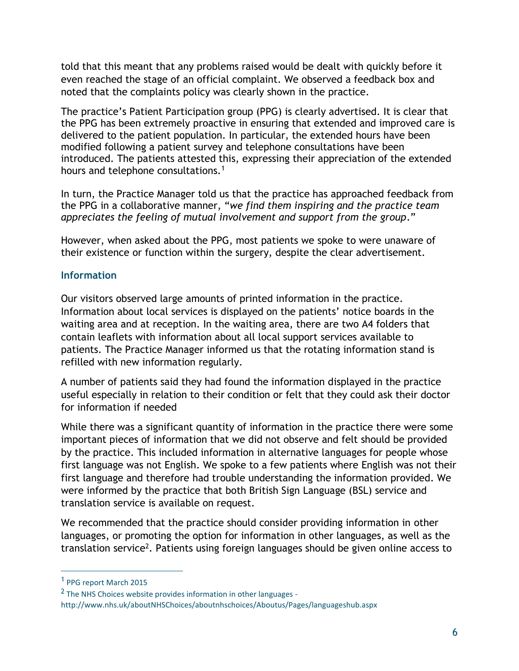told that this meant that any problems raised would be dealt with quickly before it even reached the stage of an official complaint. We observed a feedback box and noted that the complaints policy was clearly shown in the practice.

The practice's Patient Participation group (PPG) is clearly advertised. It is clear that the PPG has been extremely proactive in ensuring that extended and improved care is delivered to the patient population. In particular, the extended hours have been modified following a patient survey and telephone consultations have been introduced. The patients attested this, expressing their appreciation of the extended hours and telephone consultations.<sup>1</sup>

In turn, the Practice Manager told us that the practice has approached feedback from the PPG in a collaborative manner, "*we find them inspiring and the practice team appreciates the feeling of mutual involvement and support from the group*."

However, when asked about the PPG, most patients we spoke to were unaware of their existence or function within the surgery, despite the clear advertisement.

#### **Information**

Our visitors observed large amounts of printed information in the practice. Information about local services is displayed on the patients' notice boards in the waiting area and at reception. In the waiting area, there are two A4 folders that contain leaflets with information about all local support services available to patients. The Practice Manager informed us that the rotating information stand is refilled with new information regularly.

A number of patients said they had found the information displayed in the practice useful especially in relation to their condition or felt that they could ask their doctor for information if needed

While there was a significant quantity of information in the practice there were some important pieces of information that we did not observe and felt should be provided by the practice. This included information in alternative languages for people whose first language was not English. We spoke to a few patients where English was not their first language and therefore had trouble understanding the information provided. We were informed by the practice that both British Sign Language (BSL) service and translation service is available on request.

We recommended that the practice should consider providing information in other languages, or promoting the option for information in other languages, as well as the translation service<sup>2</sup>. Patients using foreign languages should be given online access to

 $\overline{a}$ 

<sup>1</sup> PPG report March 2015

<sup>&</sup>lt;sup>2</sup> The NHS Choices website provides information in other languages http://www.nhs.uk/aboutNHSChoices/aboutnhschoices/Aboutus/Pages/languageshub.aspx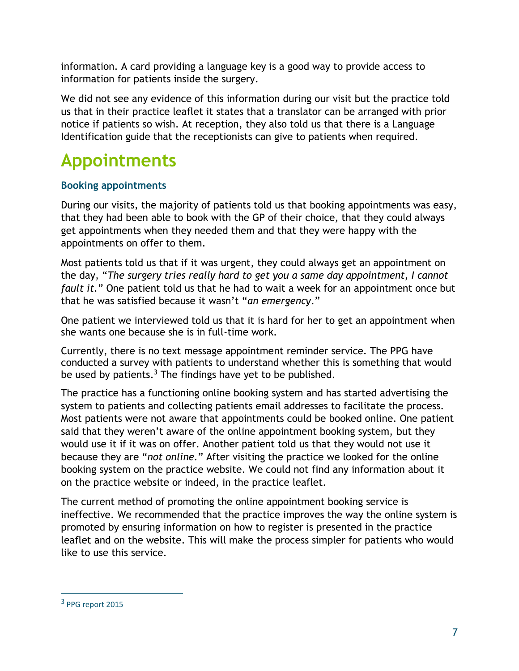information. A card providing a language key is a good way to provide access to information for patients inside the surgery.

We did not see any evidence of this information during our visit but the practice told us that in their practice leaflet it states that a translator can be arranged with prior notice if patients so wish. At reception, they also told us that there is a Language Identification guide that the receptionists can give to patients when required.

## **Appointments**

#### **Booking appointments**

During our visits, the majority of patients told us that booking appointments was easy, that they had been able to book with the GP of their choice, that they could always get appointments when they needed them and that they were happy with the appointments on offer to them.

Most patients told us that if it was urgent, they could always get an appointment on the day, "*The surgery tries really hard to get you a same day appointment, I cannot fault it.*" One patient told us that he had to wait a week for an appointment once but that he was satisfied because it wasn't "*an emergency*."

One patient we interviewed told us that it is hard for her to get an appointment when she wants one because she is in full-time work.

Currently, there is no text message appointment reminder service. The PPG have conducted a survey with patients to understand whether this is something that would be used by patients.<sup>3</sup> The findings have yet to be published.

The practice has a functioning online booking system and has started advertising the system to patients and collecting patients email addresses to facilitate the process. Most patients were not aware that appointments could be booked online. One patient said that they weren't aware of the online appointment booking system, but they would use it if it was on offer. Another patient told us that they would not use it because they are "*not online.*" After visiting the practice we looked for the online booking system on the practice website. We could not find any information about it on the practice website or indeed, in the practice leaflet.

The current method of promoting the online appointment booking service is ineffective. We recommended that the practice improves the way the online system is promoted by ensuring information on how to register is presented in the practice leaflet and on the website. This will make the process simpler for patients who would like to use this service.

 $\overline{a}$ 

<sup>&</sup>lt;sup>3</sup> PPG report 2015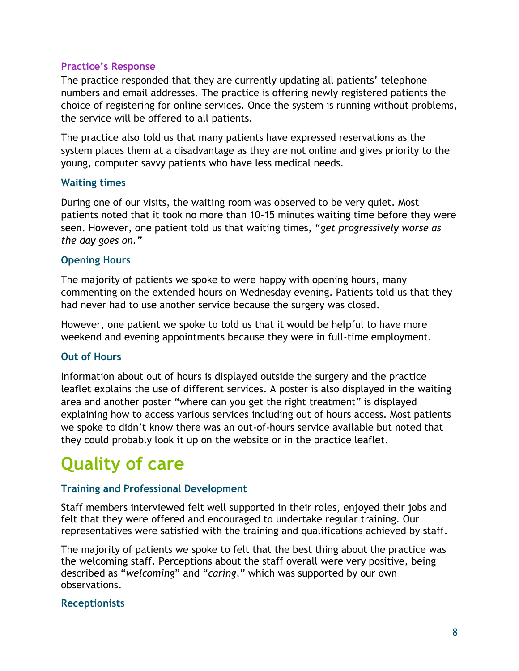#### **Practice's Response**

The practice responded that they are currently updating all patients' telephone numbers and email addresses. The practice is offering newly registered patients the choice of registering for online services. Once the system is running without problems, the service will be offered to all patients.

The practice also told us that many patients have expressed reservations as the system places them at a disadvantage as they are not online and gives priority to the young, computer savvy patients who have less medical needs.

#### **Waiting times**

During one of our visits, the waiting room was observed to be very quiet. Most patients noted that it took no more than 10-15 minutes waiting time before they were seen. However, one patient told us that waiting times, "*get progressively worse as the day goes on."*

#### **Opening Hours**

The majority of patients we spoke to were happy with opening hours, many commenting on the extended hours on Wednesday evening. Patients told us that they had never had to use another service because the surgery was closed.

However, one patient we spoke to told us that it would be helpful to have more weekend and evening appointments because they were in full-time employment.

#### **Out of Hours**

Information about out of hours is displayed outside the surgery and the practice leaflet explains the use of different services. A poster is also displayed in the waiting area and another poster "where can you get the right treatment" is displayed explaining how to access various services including out of hours access. Most patients we spoke to didn't know there was an out-of-hours service available but noted that they could probably look it up on the website or in the practice leaflet.

## **Quality of care**

#### **Training and Professional Development**

Staff members interviewed felt well supported in their roles, enjoyed their jobs and felt that they were offered and encouraged to undertake regular training. Our representatives were satisfied with the training and qualifications achieved by staff.

The majority of patients we spoke to felt that the best thing about the practice was the welcoming staff. Perceptions about the staff overall were very positive, being described as "*welcoming*" and "*caring*," which was supported by our own observations.

#### **Receptionists**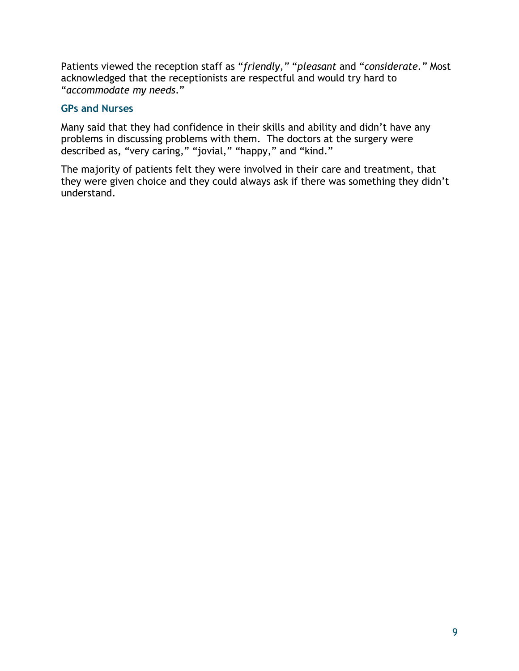Patients viewed the reception staff as "*friendly,"* "*pleasant* and "*considerate."* Most acknowledged that the receptionists are respectful and would try hard to "*accommodate my needs*."

#### **GPs and Nurses**

Many said that they had confidence in their skills and ability and didn't have any problems in discussing problems with them. The doctors at the surgery were described as, "very caring," "jovial," "happy," and "kind."

The majority of patients felt they were involved in their care and treatment, that they were given choice and they could always ask if there was something they didn't understand.